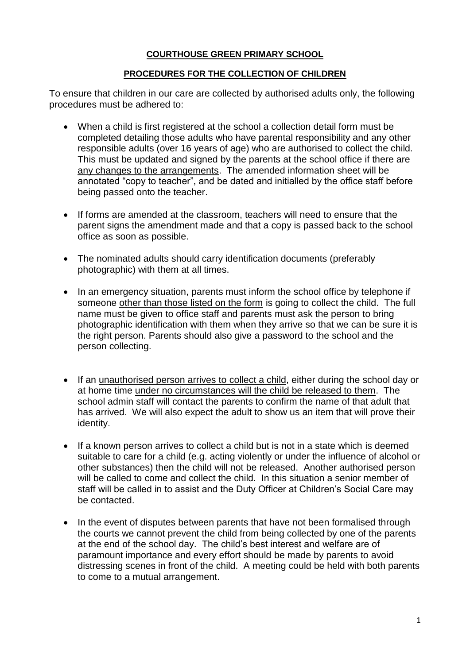## **COURTHOUSE GREEN PRIMARY SCHOOL**

## **PROCEDURES FOR THE COLLECTION OF CHILDREN**

To ensure that children in our care are collected by authorised adults only, the following procedures must be adhered to:

- When a child is first registered at the school a collection detail form must be completed detailing those adults who have parental responsibility and any other responsible adults (over 16 years of age) who are authorised to collect the child. This must be updated and signed by the parents at the school office if there are any changes to the arrangements. The amended information sheet will be annotated "copy to teacher", and be dated and initialled by the office staff before being passed onto the teacher.
- If forms are amended at the classroom, teachers will need to ensure that the parent signs the amendment made and that a copy is passed back to the school office as soon as possible.
- The nominated adults should carry identification documents (preferably photographic) with them at all times.
- In an emergency situation, parents must inform the school office by telephone if someone other than those listed on the form is going to collect the child. The full name must be given to office staff and parents must ask the person to bring photographic identification with them when they arrive so that we can be sure it is the right person. Parents should also give a password to the school and the person collecting.
- If an unauthorised person arrives to collect a child, either during the school day or at home time under no circumstances will the child be released to them. The school admin staff will contact the parents to confirm the name of that adult that has arrived. We will also expect the adult to show us an item that will prove their identity.
- If a known person arrives to collect a child but is not in a state which is deemed suitable to care for a child (e.g. acting violently or under the influence of alcohol or other substances) then the child will not be released. Another authorised person will be called to come and collect the child. In this situation a senior member of staff will be called in to assist and the Duty Officer at Children's Social Care may be contacted.
- In the event of disputes between parents that have not been formalised through the courts we cannot prevent the child from being collected by one of the parents at the end of the school day. The child's best interest and welfare are of paramount importance and every effort should be made by parents to avoid distressing scenes in front of the child. A meeting could be held with both parents to come to a mutual arrangement.